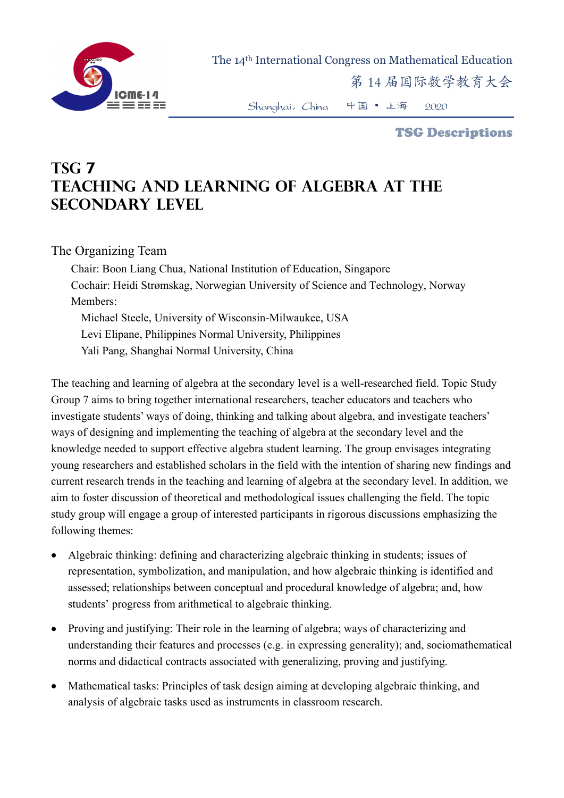

The 14th International Congress on Mathematical Education

第 14 届国际数学教育大会

Shanghai,China 中国 • 上海 2020

TSG Descriptions

## **TSG 7 Teaching and Learning of Algebra at the Secondary Level**

## The Organizing Team

Chair: Boon Liang Chua, National Institution of Education, Singapore Cochair: Heidi Strømskag, Norwegian University of Science and Technology, Norway Members:

Michael Steele, University of Wisconsin-Milwaukee, USA Levi Elipane, Philippines Normal University, Philippines Yali Pang, Shanghai Normal University, China

The teaching and learning of algebra at the secondary level is a well-researched field. Topic Study Group 7 aims to bring together international researchers, teacher educators and teachers who investigate students' ways of doing, thinking and talking about algebra, and investigate teachers' ways of designing and implementing the teaching of algebra at the secondary level and the knowledge needed to support effective algebra student learning. The group envisages integrating young researchers and established scholars in the field with the intention of sharing new findings and current research trends in the teaching and learning of algebra at the secondary level. In addition, we aim to foster discussion of theoretical and methodological issues challenging the field. The topic study group will engage a group of interested participants in rigorous discussions emphasizing the following themes:

- Algebraic thinking: defining and characterizing algebraic thinking in students; issues of representation, symbolization, and manipulation, and how algebraic thinking is identified and assessed; relationships between conceptual and procedural knowledge of algebra; and, how students' progress from arithmetical to algebraic thinking.
- Proving and justifying: Their role in the learning of algebra; ways of characterizing and understanding their features and processes (e.g. in expressing generality); and, sociomathematical norms and didactical contracts associated with generalizing, proving and justifying.
- Mathematical tasks: Principles of task design aiming at developing algebraic thinking, and analysis of algebraic tasks used as instruments in classroom research.